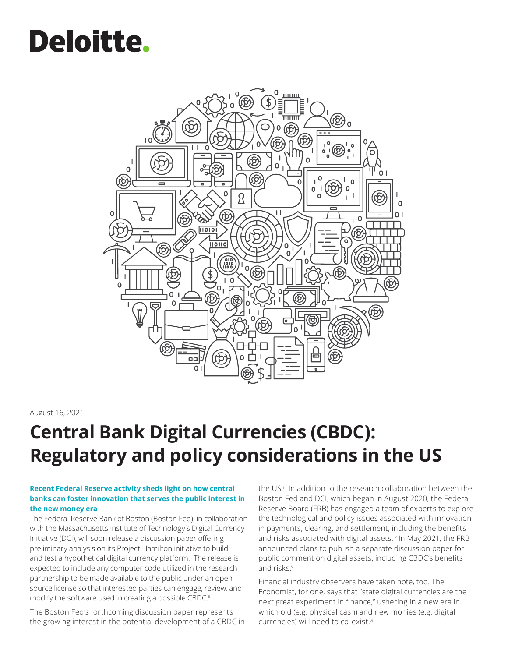# **Deloitte.**



#### August 16, 2021

### **Central Bank Digital Currencies (CBDC): Regulatory and policy considerations in the US**

#### **Recent Federal Reserve activity sheds light on how central banks can foster innovation that serves the public interest in the new money era**

The Federal Reserve Bank of Boston (Boston Fed), in collaboration with the Massachusetts Institute of Technology's Digital Currency Initiative (DCI), will soon release a discussion paper offering preliminary analysis on its Project Hamilton initiative to build and test a hypothetical digital currency platform. The release is expected to include any computer code utilized in the research partnership to be made available to the public under an opensource license so that interested parties can engage, review, and modify the software used in creating a possible CBDC.ii

The Boston Fed's forthcoming discussion paper represents the growing interest in the potential development of a CBDC in

the US.<sup>iii</sup> In addition to the research collaboration between the Boston Fed and DCI, which began in August 2020, the Federal Reserve Board (FRB) has engaged a team of experts to explore the technological and policy issues associated with innovation in payments, clearing, and settlement, including the benefits and risks associated with digital assets.<sup>iv</sup> In May 2021, the FRB announced plans to publish a separate discussion paper for public comment on digital assets, including CBDC's benefits and risks.v

Financial industry observers have taken note, too. The Economist, for one, says that "state digital currencies are the next great experiment in finance," ushering in a new era in which old (e.g. physical cash) and new monies (e.g. digital currencies) will need to co-exist.vi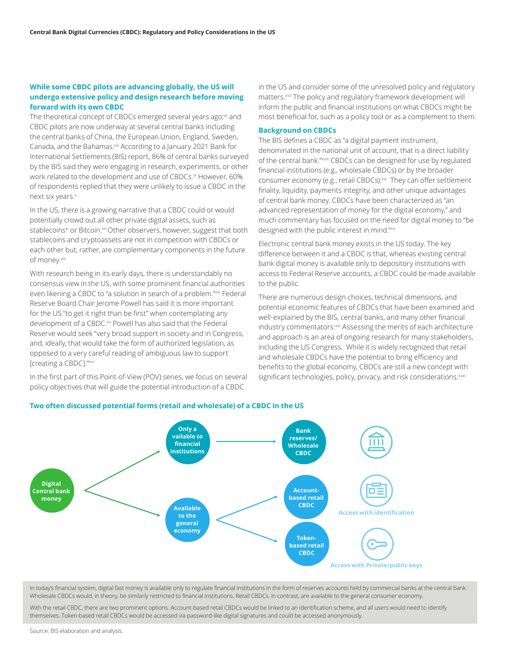#### **While some CBDC pilots are advancing globally, the US will undergo extensive policy and design research before moving forward with its own CBDC**

The theoretical concept of CBDCs emerged several years ago, vii and CBDC pilots are now underway at several central banks including the central banks of China, the European Union, England, Sweden, Canada, and the Bahamas.<sup>viii</sup> According to a January 2021 Bank for International Settlements (BIS) report, 86% of central banks surveyed by the BIS said they were engaging in research, experiments, or other work related to the development and use of CBDCs.<sup>ix</sup> However, 60% of respondents replied that they were unlikely to issue a CBDC in the next six years.x

In the US, there is a growing narrative that a CBDC could or would potentially crowd out all other private digital assets, such as stablecoins<sup>xi</sup> or Bitcoin.<sup>xii</sup> Other observers, however, suggest that both stablecoins and cryptoassets are not in competition with CBDCs or each other but, rather, are complementary components in the future of money.xiii

With research being in its early days, there is understandably no consensus view in the US, with some prominent financial authorities even likening a CBDC to "a solution in search of a problem."xiv Federal Reserve Board Chair Jerome Powell has said it is more important for the US "to get it right than be first" when contemplating any development of a CBDC.<sup>xv</sup> Powell has also said that the Federal Reserve would seek "very broad support in society and in Congress, and, ideally, that would take the form of authorized legislation, as opposed to a very careful reading of ambiguous law to support [creating a CBDC]."xvi

In the first part of this Point-of-View (POV) series, we focus on several policy objectives that will guide the potential introduction of a CBDC

in the US and consider some of the unresolved policy and regulatory matters.<sup>xvii</sup> The policy and regulatory framework development will inform the public and financial institutions on what CBDCs might be most beneficial for, such as a policy tool or as a complement to them.

#### **Background on CBDCs**

The BIS defines a CBDC as "a digital payment instrument, denominated in the national unit of account, that is a direct liability of the central bank."xviii CBDCs can be designed for use by regulated financial institutions (e.g., wholesale CBDCs) or by the broader consumer economy (e.g., retail CBDCs). Xix They can offer settlement finality, liquidity, payments integrity, and other unique advantages of central bank money. CBDCs have been characterized as "an advanced representation of money for the digital economy," and much commentary has focused on the need for digital money to "be designed with the public interest in mind."xx

Electronic central bank money exists in the US today. The key difference between it and a CBDC is that, whereas existing central bank digital money is available only to depository institutions with access to Federal Reserve accounts, a CBDC could be made available to the public.

There are numerous design choices, technical dimensions, and potential economic features of CBDCs that have been examined and well-explained by the BIS, central banks, and many other financial industry commentators.<sup>xxi</sup> Assessing the merits of each architecture and approach is an area of ongoing research for many stakeholders, including the US Congress. While it is widely recognized that retail and wholesale CBDCs have the potential to bring efficiency and benefits to the global economy, CBDCs are still a new concept with significant technologies, policy, privacy, and risk considerations. xxiii



In today's financial system, digital fast money is available only to regulate financial institutions in the form of reserves accounts held by commercial banks at the central bank. Wholesale CBDCs would, in theory, be similarly restricted to financial institutions. Retail CBDCs, in contrast, are available to the general consumer economy.

With the retail CBDC, there are two prominent options. Account-based retail CBDCs would be linked to an identification scheme, and all users would need to identify themselves. Token-based retail CBDCs would be accessed via password-like digital signatures and could be accessed anonymously.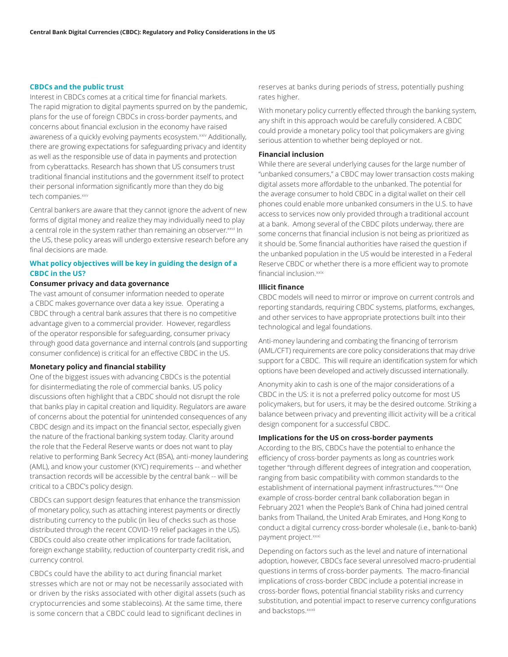#### **CBDCs and the public trust**

Interest in CBDCs comes at a critical time for financial markets. The rapid migration to digital payments spurred on by the pandemic, plans for the use of foreign CBDCs in cross-border payments, and concerns about financial exclusion in the economy have raised awareness of a quickly evolving payments ecosystem.xxiv Additionally, there are growing expectations for safeguarding privacy and identity as well as the responsible use of data in payments and protection from cyberattacks. Research has shown that US consumers trust traditional financial institutions and the government itself to protect their personal information significantly more than they do big tech companies.xxv

Central bankers are aware that they cannot ignore the advent of new forms of digital money and realize they may individually need to play a central role in the system rather than remaining an observer. xxvi In the US, these policy areas will undergo extensive research before any final decisions are made.

#### **What policy objectives will be key in guiding the design of a CBDC in the US?**

#### **Consumer privacy and data governance**

The vast amount of consumer information needed to operate a CBDC makes governance over data a key issue. Operating a CBDC through a central bank assures that there is no competitive advantage given to a commercial provider. However, regardless of the operator responsible for safeguarding, consumer privacy through good data governance and internal controls (and supporting consumer confidence) is critical for an effective CBDC in the US.

#### **Monetary policy and financial stability**

One of the biggest issues with advancing CBDCs is the potential for disintermediating the role of commercial banks. US policy discussions often highlight that a CBDC should not disrupt the role that banks play in capital creation and liquidity. Regulators are aware of concerns about the potential for unintended consequences of any CBDC design and its impact on the financial sector, especially given the nature of the fractional banking system today. Clarity around the role that the Federal Reserve wants or does not want to play relative to performing Bank Secrecy Act (BSA), anti-money laundering (AML), and know your customer (KYC) requirements -- and whether transaction records will be accessible by the central bank -- will be critical to a CBDC's policy design.

CBDCs can support design features that enhance the transmission of monetary policy, such as attaching interest payments or directly distributing currency to the public (in lieu of checks such as those distributed through the recent COVID-19 relief packages in the US). CBDCs could also create other implications for trade facilitation, foreign exchange stability, reduction of counterparty credit risk, and currency control.

CBDCs could have the ability to act during financial market stresses which are not or may not be necessarily associated with or driven by the risks associated with other digital assets (such as cryptocurrencies and some stablecoins). At the same time, there is some concern that a CBDC could lead to significant declines in

reserves at banks during periods of stress, potentially pushing rates higher.

With monetary policy currently effected through the banking system, any shift in this approach would be carefully considered. A CBDC could provide a monetary policy tool that policymakers are giving serious attention to whether being deployed or not.

#### **Financial inclusion**

While there are several underlying causes for the large number of "unbanked consumers," a CBDC may lower transaction costs making digital assets more affordable to the unbanked. The potential for the average consumer to hold CBDC in a digital wallet on their cell phones could enable more unbanked consumers in the U.S. to have access to services now only provided through a traditional account at a bank. Among several of the CBDC pilots underway, there are some concerns that financial inclusion is not being as prioritized as it should be. Some financial authorities have raised the question if the unbanked population in the US would be interested in a Federal Reserve CBDC or whether there is a more efficient way to promote financial inclusion.<sup>xxix</sup>

#### **Illicit finance**

CBDC models will need to mirror or improve on current controls and reporting standards, requiring CBDC systems, platforms, exchanges, and other services to have appropriate protections built into their technological and legal foundations.

Anti-money laundering and combating the financing of terrorism (AML/CFT) requirements are core policy considerations that may drive support for a CBDC. This will require an identification system for which options have been developed and actively discussed internationally.

Anonymity akin to cash is one of the major considerations of a CBDC in the US: it is not a preferred policy outcome for most US policymakers, but for users, it may be the desired outcome. Striking a balance between privacy and preventing illicit activity will be a critical design component for a successful CBDC.

#### **Implications for the US on cross-border payments**

According to the BIS, CBDCs have the potential to enhance the efficiency of cross-border payments as long as countries work together "through different degrees of integration and cooperation, ranging from basic compatibility with common standards to the establishment of international payment infrastructures."xxx One example of cross-border central bank collaboration began in February 2021 when the People's Bank of China had joined central banks from Thailand, the United Arab Emirates, and Hong Kong to conduct a digital currency cross-border wholesale (i.e., bank-to-bank) payment project.xxxi

Depending on factors such as the level and nature of international adoption, however, CBDCs face several unresolved macro-prudential questions in terms of cross-border payments. The macro-financial implications of cross-border CBDC include a potential increase in cross-border flows, potential financial stability risks and currency substitution, and potential impact to reserve currency configurations and backstops.xxxii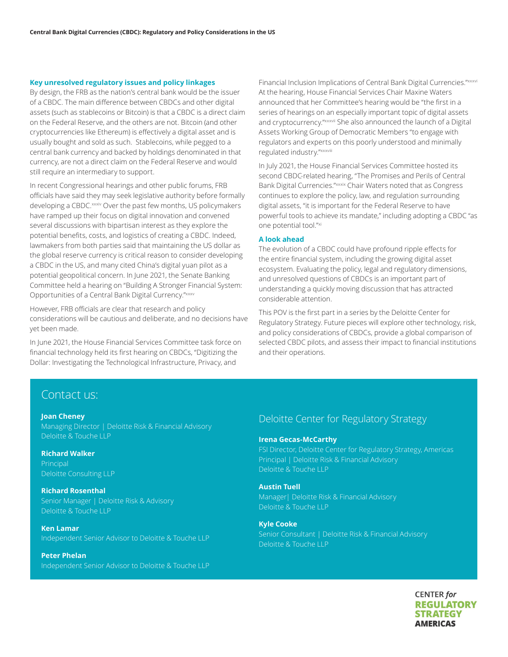#### **Key unresolved regulatory issues and policy linkages**

By design, the FRB as the nation's central bank would be the issuer of a CBDC. The main difference between CBDCs and other digital assets (such as stablecoins or Bitcoin) is that a CBDC is a direct claim on the Federal Reserve, and the others are not. Bitcoin (and other cryptocurrencies like Ethereum) is effectively a digital asset and is usually bought and sold as such. Stablecoins, while pegged to a central bank currency and backed by holdings denominated in that currency, are not a direct claim on the Federal Reserve and would still require an intermediary to support.

In recent Congressional hearings and other public forums, FRB officials have said they may seek legislative authority before formally developing a CBDC.<sup>xxxiv</sup> Over the past few months, US policymakers have ramped up their focus on digital innovation and convened several discussions with bipartisan interest as they explore the potential benefits, costs, and logistics of creating a CBDC. Indeed, lawmakers from both parties said that maintaining the US dollar as the global reserve currency is critical reason to consider developing a CBDC in the US, and many cited China's digital yuan pilot as a potential geopolitical concern. In June 2021, the Senate Banking Committee held a hearing on "Building A Stronger Financial System: Opportunities of a Central Bank Digital Currency."xxxv

However, FRB officials are clear that research and policy considerations will be cautious and deliberate, and no decisions have yet been made.

In June 2021, the House Financial Services Committee task force on financial technology held its first hearing on CBDCs, "Digitizing the Dollar: Investigating the Technological Infrastructure, Privacy, and

Financial Inclusion Implications of Central Bank Digital Currencies."xxxvi At the hearing, House Financial Services Chair Maxine Waters announced that her Committee's hearing would be "the first in a series of hearings on an especially important topic of digital assets and cryptocurrency."xxxvii She also announced the launch of a Digital Assets Working Group of Democratic Members "to engage with regulators and experts on this poorly understood and minimally regulated industry."xxxviii

In July 2021, the House Financial Services Committee hosted its second CBDC-related hearing, "The Promises and Perils of Central Bank Digital Currencies."xxxix Chair Waters noted that as Congress continues to explore the policy, law, and regulation surrounding digital assets, "it is important for the Federal Reserve to have powerful tools to achieve its mandate," including adopting a CBDC "as one potential tool."xi

#### **A look ahead**

The evolution of a CBDC could have profound ripple effects for the entire financial system, including the growing digital asset ecosystem. Evaluating the policy, legal and regulatory dimensions, and unresolved questions of CBDCs is an important part of understanding a quickly moving discussion that has attracted considerable attention.

This POV is the first part in a series by the Deloitte Center for Regulatory Strategy. Future pieces will explore other technology, risk, and policy considerations of CBDCs, provide a global comparison of selected CBDC pilots, and assess their impact to financial institutions and their operations.

#### Contact us:

#### **Joan Cheney**

Managing Director | Deloitte Risk & Financial Advisory Deloitte & Touche LLP

**Richard Walker**  Principal Deloitte Consulting LLP

**Richard Rosenthal** Senior Manager | Deloitte Risk & Advisory Deloitte & Touche LLP

**Ken Lamar** Independent Senior Advisor to Deloitte & Touche LLP

**Peter Phelan** Independent Senior Advisor to Deloitte & Touche LLP

#### Deloitte Center for Regulatory Strategy

#### **Irena Gecas-McCarthy**

FSI Director, Deloitte Center for Regulatory Strategy, Americas Principal | Deloitte Risk & Financial Advisory Deloitte & Touche LLP

#### **Austin Tuell**

Manager| Deloitte Risk & Financial Advisory Deloitte & Touche LLP

#### **Kyle Cooke**

Senior Consultant | Deloitte Risk & Financial Advisory Deloitte & Touche LLP

> **CENTER** for **REGULATORY STRATEGY AMERICAS**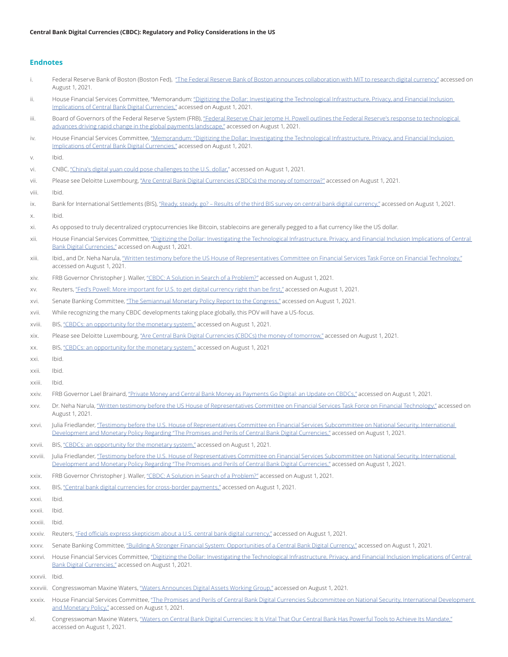#### **Endnotes**

| i.            | Federal Reserve Bank of Boston (Boston Fed), "The Federal Reserve Bank of Boston announces collaboration with MIT to research digital currency" accessed on<br>August 1, 2021.                                                                                                                 |
|---------------|------------------------------------------------------------------------------------------------------------------------------------------------------------------------------------------------------------------------------------------------------------------------------------------------|
| ii.           | House Financial Services Committee, "Memorandum: "Digitizing the Dollar: Investigating the Technological Infrastructure, Privacy, and Financial Inclusion<br>Implications of Central Bank Digital Currencies," accessed on August 1, 2021.                                                     |
| iii.          | Board of Governors of the Federal Reserve System (FRB), "Federal Reserve Chair Jerome H. Powell outlines the Federal Reserve's response to technological<br>advances driving rapid change in the global payments landscape," accessed on August 1, 2021.                                       |
| iv.           | House Financial Services Committee, "Memorandum: "Digitizing the Dollar: Investigating the Technological Infrastructure, Privacy, and Financial Inclusion<br>Implications of Central Bank Digital Currencies," accessed on August 1, 2021.                                                     |
| V.            | Ibid.                                                                                                                                                                                                                                                                                          |
| vi.           | CNBC, "China's digital yuan could pose challenges to the U.S. dollar," accessed on August 1, 2021.                                                                                                                                                                                             |
| vii.          | Please see Deloitte Luxembourg, "Are Central Bank Digital Currencies (CBDCs) the money of tomorrow?" accessed on August 1, 2021.                                                                                                                                                               |
| viii.         | Ibid.                                                                                                                                                                                                                                                                                          |
| ix.           | Bank for International Settlements (BIS), "Ready, steady, go? - Results of the third BIS survey on central bank digital currency," accessed on August 1, 2021.                                                                                                                                 |
| Х.            | Ibid.                                                                                                                                                                                                                                                                                          |
| xi.           | As opposed to truly decentralized cryptocurrencies like Bitcoin, stablecoins are generally pegged to a fiat currency like the US dollar.                                                                                                                                                       |
| xii.          | House Financial Services Committee, "Digitizing the Dollar: Investigating the Technological Infrastructure, Privacy, and Financial Inclusion Implications of Central<br>Bank Digital Currencies," accessed on August 1, 2021.                                                                  |
| xiii.         | Ibid., and Dr. Neha Narula, "Written testimony before the US House of Representatives Committee on Financial Services Task Force on Financial Technology."<br>accessed on August 1, 2021.                                                                                                      |
| XİV.          | FRB Governor Christopher J. Waller, "CBDC: A Solution in Search of a Problem?" accessed on August 1, 2021.                                                                                                                                                                                     |
| XV.           | Reuters, "Fed's Powell: More important for U.S. to get digital currency right than be first," accessed on August 1, 2021.                                                                                                                                                                      |
| XVİ.          | Senate Banking Committee, "The Semiannual Monetary Policy Report to the Congress," accessed on August 1, 2021.                                                                                                                                                                                 |
| xvii.         | While recognizing the many CBDC developments taking place globally, this POV will have a US-focus.                                                                                                                                                                                             |
| xviii.        | BIS, "CBDCs: an opportunity for the monetary system" accessed on August 1, 2021.                                                                                                                                                                                                               |
| XIX.          | Please see Deloitte Luxembourg, "Are Central Bank Digital Currencies (CBDCs) the money of tomorrow," accessed on August 1, 2021.                                                                                                                                                               |
| XX.           | BIS, "CBDCs: an opportunity for the monetary system," accessed on August 1, 2021                                                                                                                                                                                                               |
| XXİ.          | Ibid.                                                                                                                                                                                                                                                                                          |
| xxii.         | Ibid.                                                                                                                                                                                                                                                                                          |
| xxiii.        | Ibid.                                                                                                                                                                                                                                                                                          |
| xxiv.         | FRB Governor Lael Brainard, "Private Money and Central Bank Money as Payments Go Digital: an Update on CBDCs," accessed on August 1, 2021.                                                                                                                                                     |
| XXV.          | Dr. Neha Narula, "Written testimony before the US House of Representatives Committee on Financial Services Task Force on Financial Technology," accessed on<br>August 1, 2021.                                                                                                                 |
| XXVİ.         | Julia Friedlander, "Testimony before the U.S. House of Representatives Committee on Financial Services Subcommittee on National Security, International<br>Development and Monetary Policy Regarding "The Promises and Perils of Central Bank Digital Currencies," accessed on August 1, 2021. |
| xxvii.        | BIS, "CBDCs: an opportunity for the monetary system," accessed on August 1, 2021.                                                                                                                                                                                                              |
| XXVIII.       | Julia Friedlander, "Testimony before the U.S. House of Representatives Committee on Financial Services Subcommittee on National Security, International<br>Development and Monetary Policy Regarding "The Promises and Perils of Central Bank Digital Currencies," accessed on August 1, 2021. |
| XXIX.         | FRB Governor Christopher J. Waller, "CBDC: A Solution in Search of a Problem?" accessed on August 1, 2021.                                                                                                                                                                                     |
| XXX.          | BIS, "Central bank digital currencies for cross-border payments," accessed on August 1, 2021.                                                                                                                                                                                                  |
| XXXİ.         | Ibid.                                                                                                                                                                                                                                                                                          |
| XXXII.        | Ibid.                                                                                                                                                                                                                                                                                          |
| xxxiii.       | Ibid.                                                                                                                                                                                                                                                                                          |
| XXXIV.        | Reuters, "Fed officials express skepticism about a U.S. central bank digital currency" accessed on August 1, 2021.                                                                                                                                                                             |
| XXXV.         | Senate Banking Committee, "Building A Stronger Financial System: Opportunities of a Central Bank Digital Currency," accessed on August 1, 2021.                                                                                                                                                |
| XXXVİ.        | House Financial Services Committee, "Digitizing the Dollar: Investigating the Technological Infrastructure, Privacy, and Financial Inclusion Implications of Central<br>Bank Digital Currencies," accessed on August 1, 2021.                                                                  |
| xxxvii. Ibid. |                                                                                                                                                                                                                                                                                                |
|               | xxxviii. Congresswoman Maxine Waters, "Waters Announces Digital Assets Working Group," accessed on August 1, 2021.                                                                                                                                                                             |
| xxxix.        | House Financial Services Committee, "The Promises and Perils of Central Bank Digital Currencies Subcommittee on National Security, International Development<br>and Monetary Policy," accessed on August 1, 2021.                                                                              |

xl. Congresswoman Maxine Waters, ["Waters on Central Bank Digital Currencies: It Is Vital That Our Central Bank Has Powerful Tools to Achieve Its Mandate,"](https://financialservices.house.gov/news/documentsingle.aspx?DocumentID=408256) accessed on August 1, 2021.